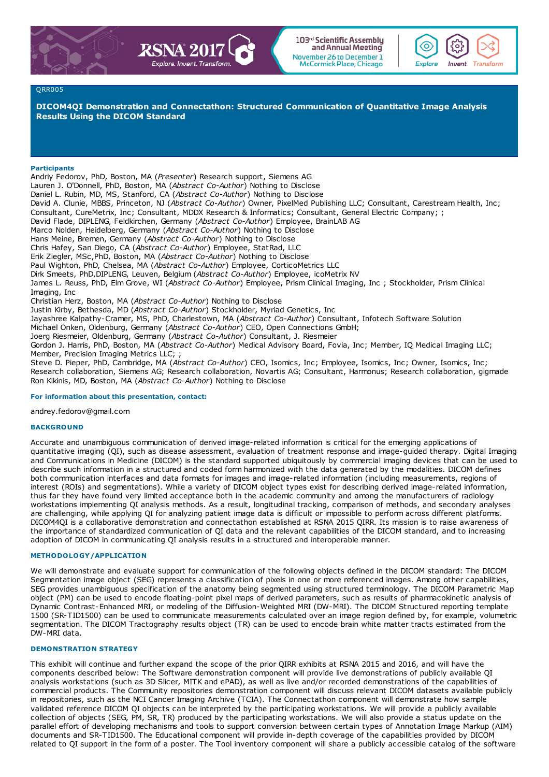



### QRR005

**DICOM4QI Demonstration and Connectathon: Structured Communication of Quantitative Image Analysis Results Using the DICOM Standard**

### **Participants**

Andriy Fedorov, PhD, Boston, MA (*Presenter*) Research support, Siemens AG Lauren J. O'Donnell, PhD, Boston, MA (*Abstract Co-Author*) Nothing to Disclose Daniel L. Rubin, MD, MS, Stanford, CA (*Abstract Co-Author*) Nothing to Disclose David A. Clunie, MBBS, Princeton, NJ (*Abstract Co-Author*) Owner, PixelMed Publishing LLC; Consultant, Carestream Health, Inc; Consultant, CureMetrix, Inc; Consultant, MDDX Research & Informatics; Consultant, General Electric Company; ; David Flade, DIPLENG, Feldkirchen, Germany (*Abstract Co-Author*) Employee, BrainLAB AG Marco Nolden, Heidelberg, Germany (*Abstract Co-Author*) Nothing to Disclose Hans Meine, Bremen, Germany (*Abstract Co-Author*) Nothing to Disclose Chris Hafey, San Diego, CA (*Abstract Co-Author*) Employee, StatRad, LLC Erik Ziegler, MSc,PhD, Boston, MA (*Abstract Co-Author*) Nothing to Disclose Paul Wighton, PhD, Chelsea, MA (*Abstract Co-Author*) Employee, CorticoMetrics LLC Dirk Smeets, PhD,DIPLENG, Leuven, Belgium (*Abstract Co-Author*) Employee, icoMetrix NV James L. Reuss, PhD, Elm Grove, WI (*Abstract Co-Author*) Employee, Prism Clinical Imaging, Inc ; Stockholder, Prism Clinical Imaging, Inc Christian Herz, Boston, MA (*Abstract Co-Author*) Nothing to Disclose Justin Kirby, Bethesda, MD (*Abstract Co-Author*) Stockholder, Myriad Genetics, Inc Jayashree Kalpathy-Cramer, MS, PhD, Charlestown, MA (*Abstract Co-Author*) Consultant, Infotech Software Solution Michael Onken, Oldenburg, Germany (*Abstract Co-Author*) CEO, Open Connections GmbH; Joerg Riesmeier, Oldenburg, Germany (*Abstract Co-Author*) Consultant, J. Riesmeier

Gordon J. Harris, PhD, Boston, MA (*Abstract Co-Author*) Medical Advisory Board, Fovia, Inc; Member, IQ Medical Imaging LLC; Member, Precision Imaging Metrics LLC; ;

Steve D. Pieper, PhD, Cambridge, MA (*Abstract Co-Author*) CEO, Isomics, Inc; Employee, Isomics, Inc; Owner, Isomics, Inc; Research collaboration, Siemens AG; Research collaboration, Novartis AG; Consultant, Harmonus; Research collaboration, gigmade Ron Kikinis, MD, Boston, MA (*Abstract Co-Author*) Nothing to Disclose

# **For information about this presentation, contact:**

andrey.fedorov@gmail.com

#### **BACKGROUND**

Accurate and unambiguous communication of derived image-related information is critical for the emerging applications of quantitative imaging (QI), such as disease assessment, evaluation of treatment response and image-guided therapy. Digital Imaging and Communications in Medicine (DICOM) is the standard supported ubiquitously by commercial imaging devices that can be used to describe such information in a structured and coded form harmonized with the data generated by the modalities. DICOM defines both communication interfaces and data formats for images and image-related information (including measurements, regions of interest (ROIs) and segmentations). While a variety of DICOM object types exist for describing derived image-related information, thus far they have found very limited acceptance both in the academic community and among the manufacturers of radiology workstations implementing QI analysis methods. As a result, longitudinal tracking, comparison of methods, and secondary analyses are challenging, while applying QI for analyzing patient image data is difficult or impossible to perform across different platforms. DICOM4QI is a collaborative demonstration and connectathon established at RSNA 2015 QIRR. Its mission is to raise awareness of the importance of standardized communication of QI data and the relevant capabilities of the DICOM standard, and to increasing adoption of DICOM in communicating QI analysis results in a structured and interoperable manner.

# **METHODOLOGY/APPLICATION**

We will demonstrate and evaluate support for communication of the following objects defined in the DICOM standard: The DICOM Segmentation image object (SEG) represents a classification of pixels in one or more referenced images. Among other capabilities, SEG provides unambiguous specification of the anatomy being segmented using structured terminology. The DICOM Parametric Map object (PM) can be used to encode floating-point pixel maps of derived parameters, such as results of pharmacokinetic analysis of Dynamic Contrast-Enhanced MRI, or modeling of the Diffusion-Weighted MRI (DW-MRI). The DICOM Structured reporting template 1500 (SR-TID1500) can be used to communicate measurements calculated over an image region defined by, for example, volumetric segmentation. The DICOM Tractography results object (TR) can be used to encode brain white matter tracts estimated from the DW-MRI data.

### **DEMONSTRATION STRATEGY**

This exhibit will continue and further expand the scope of the prior QIRR exhibits at RSNA 2015 and 2016, and will have the components described below: The Software demonstration component will provide live demonstrations of publicly available QI analysis workstations (such as 3D Slicer, MITK and ePAD), as well as live and/or recorded demonstrations of the capabilities of commercial products. The Community repositories demonstration component will discuss relevant DICOM datasets available publicly in repositories, such as the NCI Cancer Imaging Archive (TCIA). The Connectathon component will demonstrate how sample validated reference DICOM QI objects can be interpreted by the participating workstations. We will provide a publicly available collection of objects (SEG, PM, SR, TR) produced by the participating workstations. We will also provide a status update on the parallel effort of developing mechanisms and tools to support conversion between certain types of Annotation Image Markup (AIM) documents and SR-TID1500. The Educational component will provide in-depth coverage of the capabilities provided by DICOM related to QI support in the form of a poster. The Tool inventory component will share a publicly accessible catalog of the software